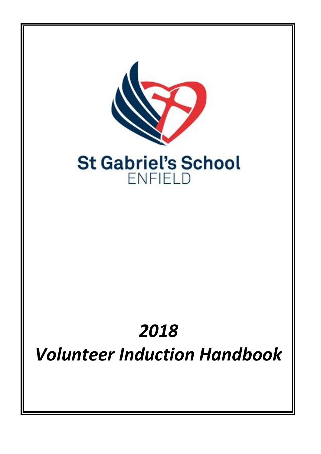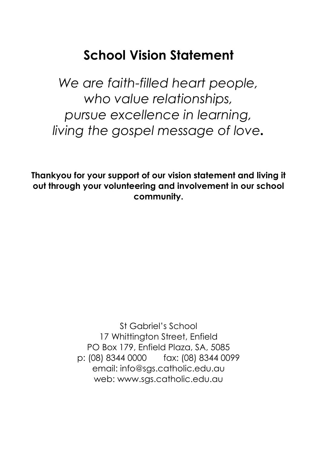# **School Vision Statement**

*We are faith-filled heart people, who value relationships, pursue excellence in learning, living the gospel message of love.*

**Thankyou for your support of our vision statement and living it out through your volunteering and involvement in our school community.**

> St Gabriel's School 17 Whittington Street, Enfield PO Box 179, Enfield Plaza, SA, 5085 p: (08) 8344 0000 fax: (08) 8344 0099 email: info@sgs.catholic.edu.au web: www.sgs.catholic.edu.au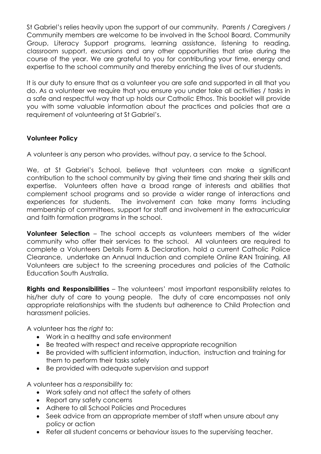St Gabriel's relies heavily upon the support of our community. Parents / Caregivers / Community members are welcome to be involved in the School Board, Community Group, Literacy Support programs, learning assistance, listening to reading, classroom support, excursions and any other opportunities that arise during the course of the year. We are grateful to you for contributing your time, energy and expertise to the school community and thereby enriching the lives of our students.

It is our duty to ensure that as a volunteer you are safe and supported in all that you do. As a volunteer we require that you ensure you under take all activities / tasks in a safe and respectful way that up holds our Catholic Ethos. This booklet will provide you with some valuable information about the practices and policies that are a requirement of volunteering at St Gabriel's.

## **Volunteer Policy**

A volunteer is any person who provides, without pay, a service to the School.

We, at St Gabriel's School, believe that volunteers can make a significant contribution to the school community by giving their time and sharing their skills and expertise. Volunteers often have a broad range of interests and abilities that complement school programs and so provide a wider range of interactions and experiences for students. The involvement can take many forms including membership of committees, support for staff and involvement in the extracurricular and faith formation programs in the school.

**Volunteer Selection** – The school accepts as volunteers members of the wider community who offer their services to the school. All volunteers are required to complete a Volunteers Details Form & Declaration, hold a current Catholic Police Clearance, undertake an Annual Induction and complete Online RAN Training. All Volunteers are subject to the screening procedures and policies of the Catholic Education South Australia.

**Rights and Responsibilities** – The volunteers' most important responsibility relates to his/her duty of care to young people. The duty of care encompasses not only appropriate relationships with the students but adherence to Child Protection and harassment policies.

A volunteer has the *right* to:

- Work in a healthy and safe environment
- Be treated with respect and receive appropriate recognition
- Be provided with sufficient information, induction, instruction and training for them to perform their tasks safely
- Be provided with adequate supervision and support

A volunteer has a *responsibility* to:

- Work safely and not affect the safety of others
- Report any safety concerns
- Adhere to all School Policies and Procedures
- Seek advice from an appropriate member of staff when unsure about any policy or action
- Refer all student concerns or behaviour issues to the supervising teacher.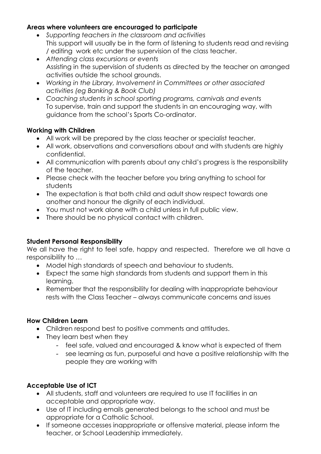#### **Areas where volunteers are encouraged to participate**

- *Supporting teachers in the classroom and activities* This support will usually be in the form of listening to students read and revising / editing work etc under the supervision of the class teacher.
- *Attending class excursions or events* Assisting in the supervision of students as directed by the teacher on arranged activities outside the school grounds.
- *Working in the Library, Involvement in Committees or other associated activities (eg Banking & Book Club)*
- *Coaching students in school sporting programs, carnivals and events* To supervise, train and support the students in an encouraging way, with guidance from the school's Sports Co-ordinator.

## **Working with Children**

- All work will be prepared by the class teacher or specialist teacher.
- All work, observations and conversations about and with students are highly confidential.
- All communication with parents about any child's progress is the responsibility of the teacher.
- Please check with the teacher before you bring anything to school for students
- The expectation is that both child and adult show respect towards one another and honour the dignity of each individual.
- You must not work alone with a child unless in full public view.
- There should be no physical contact with children.

# **Student Personal Responsibility**

We all have the right to feel safe, happy and respected. Therefore we all have a responsibility to …

- Model high standards of speech and behaviour to students.
- Expect the same high standards from students and support them in this learning.
- Remember that the responsibility for dealing with inappropriate behaviour rests with the Class Teacher – always communicate concerns and issues

## **How Children Learn**

- Children respond best to positive comments and attitudes.
- They learn best when they
	- feel safe, valued and encouraged & know what is expected of them
	- see learning as fun, purposeful and have a positive relationship with the people they are working with

# **Acceptable Use of ICT**

- All students, staff and volunteers are required to use IT facilities in an acceptable and appropriate way.
- Use of IT including emails generated belongs to the school and must be appropriate for a Catholic School.
- If someone accesses inappropriate or offensive material, please inform the teacher, or School Leadership immediately.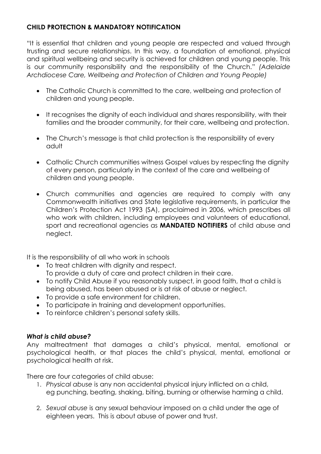# **CHILD PROTECTION & MANDATORY NOTIFICATION**

"It is essential that children and young people are respected and valued through trusting and secure relationships. In this way, a foundation of emotional, physical and spiritual wellbeing and security is achieved for children and young people. This is our community responsibility and the responsibility of the Church." *(Adelaide Archdiocese Care, Wellbeing and Protection of Children and Young People)*

- The Catholic Church is committed to the care, wellbeing and protection of children and young people.
- It recognises the dignity of each individual and shares responsibility, with their families and the broader community, for their care, wellbeing and protection.
- The Church's message is that child protection is the responsibility of every adult
- Catholic Church communities witness Gospel values by respecting the dignity of every person, particularly in the context of the care and wellbeing of children and young people.
- Church communities and agencies are required to comply with any Commonwealth initiatives and State legislative requirements, in particular the Children's Protection Act 1993 (SA), proclaimed in 2006, which prescribes all who work with children, including employees and volunteers of educational, sport and recreational agencies as **MANDATED NOTIFIERS** of child abuse and neglect.

It is the responsibility of all who work in schools

- To treat children with dignity and respect. To provide a duty of care and protect children in their care.
- To notify Child Abuse if you reasonably suspect, in good faith, that a child is being abused, has been abused or is at risk of abuse or neglect.
- To provide a safe environment for children.
- To participate in training and development opportunities.
- To reinforce children's personal safety skills.

## *What is child abuse?*

Any maltreatment that damages a child's physical, mental, emotional or psychological health, or that places the child's physical, mental, emotional or psychological health at risk.

There are four categories of child abuse:

- 1. *Physical abuse* is any non accidental physical injury inflicted on a child, eg punching, beating, shaking, biting, burning or otherwise harming a child.
- 2. *Sexual abuse* is any sexual behaviour imposed on a child under the age of eighteen years. This is about abuse of power and trust.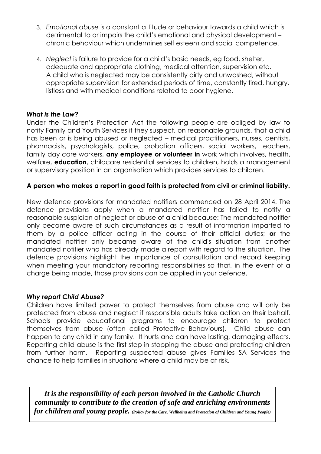- 3. *Emotional abuse* is a constant attitude or behaviour towards a child which is detrimental to or impairs the child's emotional and physical development – chronic behaviour which undermines self esteem and social competence.
- 4. *Neglect* is failure to provide for a child's basic needs, eg food, shelter, adequate and appropriate clothing, medical attention, supervision etc. A child who is neglected may be consistently dirty and unwashed, without appropriate supervision for extended periods of time, constantly tired, hungry, listless and with medical conditions related to poor hygiene.

#### *What is the Law?*

Under the Children's Protection Act the following people are obliged by law to notify Family and Youth Services if they suspect, on reasonable grounds, that a child has been or is being abused or neglected – medical practitioners, nurses, dentists, pharmacists, psychologists, police, probation officers, social workers, teachers, family day care workers, **any employee or volunteer in** work which involves, health, welfare, **education**, childcare residential services to children, holds a management or supervisory position in an organisation which provides services to children.

#### **A person who makes a report in good faith is protected from civil or criminal liability.**

New defence provisions for mandated notifiers commenced on 28 April 2014. The defence provisions apply when a mandated notifier has failed to notify a reasonable suspicion of neglect or abuse of a child because: The mandated notifier only became aware of such circumstances as a result of information imparted to them by a police officer acting in the course of their official duties; **or** the mandated notifier only became aware of the child's situation from another mandated notifier who has already made a report with regard to the situation. The defence provisions highlight the importance of consultation and record keeping when meeting your mandatory reporting responsibilities so that, in the event of a charge being made, those provisions can be applied in your defence.

#### *Why report Child Abuse?*

Children have limited power to protect themselves from abuse and will only be protected from abuse and neglect if responsible adults take action on their behalf. Schools provide educational programs to encourage children to protect themselves from abuse (often called Protective Behaviours). Child abuse can happen to any child in any family. It hurts and can have lasting, damaging effects. Reporting child abuse is the first step in stopping the abuse and protecting children from further harm. Reporting suspected abuse gives Families SA Services the chance to help families in situations where a child may be at risk.

*It is the responsibility of each person involved in the Catholic Church community to contribute to the creation of safe and enriching environments for children and young people. (Policy for the Care, Wellbeing and Protection of Children and Young People)*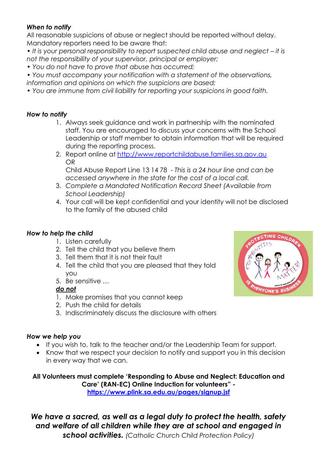## *When to notify*

All reasonable suspicions of abuse or neglect should be reported without delay. Mandatory reporters need to be aware that:

*• It is your personal responsibility to report suspected child abuse and neglect – it is not the responsibility of your supervisor, principal or employer;*

*• You do not have to prove that abuse has occurred;*

*• You must accompany your notification with a statement of the observations, information and opinions on which the suspicions are based;*

*• You are immune from civil liability for reporting your suspicions in good faith.*

#### *How to notify*

- 1. Always seek guidance and work in partnership with the nominated staff. You are encouraged to discuss your concerns with the School Leadership or staff member to obtain information that will be required during the reporting process.
- 2. Report online at [http://www.reportchildabuse.families.sa.gov.au](http://www.reportchildabuse.families.sa.gov.au/) OR

Child Abuse Report Line 13 14 78 - *This is a 24 hour line and can be accessed anywhere in the state for the cost of a local call.*

- 3. *Complete a Mandated Notification Record Sheet (Available from School Leadership)*
- 4. Your call will be kept confidential and your identity will not be disclosed to the family of the abused child

## *How to help the child*

- 1. Listen carefully
- 2. Tell the child that you believe them
- 3. Tell them that it is not their fault
- 4. Tell the child that you are pleased that they told you
- 5. Be sensitive …

## *do not*

- 1. Make promises that you cannot keep
- 2. Push the child for details
- 3. Indiscriminately discuss the disclosure with others

#### *How we help you*

- If you wish to, talk to the teacher and/or the Leadership Team for support.
- Know that we respect your decision to notify and support you in this decision in every way that we can.

**All Volunteers must complete 'Responding to Abuse and Neglect: Education and Care' (RAN-EC) Online Induction for volunteers" <https://www.plink.sa.edu.au/pages/signup.jsf>**

*We have a sacred, as well as a legal duty to protect the health, safety and welfare of all children while they are at school and engaged in school activities. (Catholic Church Child Protection Policy)*

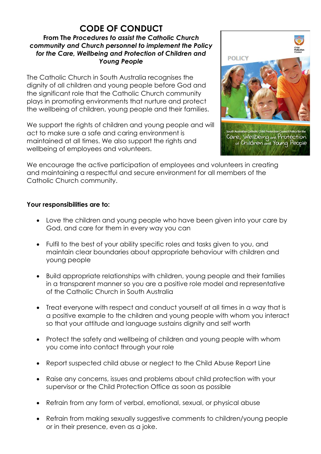# **CODE OF CONDUCT**

# **From The** *Procedures to assist the Catholic Church community and Church personnel to implement the Policy for the Care, Wellbeing and Protection of Children and Young People*

The Catholic Church in South Australia recognises the dignity of all children and young people before God and the significant role that the Catholic Church community plays in promoting environments that nurture and protect the wellbeing of children, young people and their families.

We support the rights of children and young people and will act to make sure a safe and caring environment is maintained at all times. We also support the rights and wellbeing of employees and volunteers.



We encourage the active participation of employees and volunteers in creating and maintaining a respectful and secure environment for all members of the Catholic Church community.

## **Your responsibilities are to:**

- Love the children and young people who have been given into your care by God, and care for them in every way you can
- Fulfil to the best of your ability specific roles and tasks given to you, and maintain clear boundaries about appropriate behaviour with children and young people
- Build appropriate relationships with children, young people and their families in a transparent manner so you are a positive role model and representative of the Catholic Church in South Australia
- Treat everyone with respect and conduct yourself at all times in a way that is a positive example to the children and young people with whom you interact so that your attitude and language sustains dignity and self worth
- Protect the safety and wellbeing of children and young people with whom you come into contact through your role
- Report suspected child abuse or neglect to the Child Abuse Report Line
- Raise any concerns, issues and problems about child protection with your supervisor or the Child Protection Office as soon as possible
- Refrain from any form of verbal, emotional, sexual, or physical abuse
- Refrain from making sexually suggestive comments to children/young people or in their presence, even as a joke.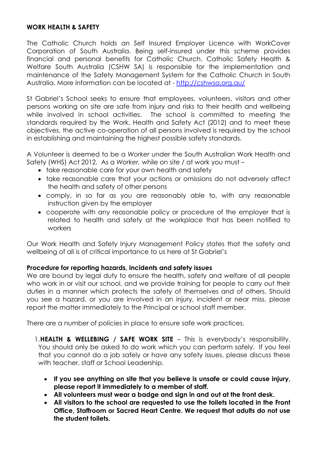#### **WORK HEALTH & SAFETY**

The Catholic Church holds an Self Insured Employer Licence with WorkCover Corporation of South Australia. Being self-insured under this scheme provides financial and personal benefits for Catholic Church. Catholic Safety Health & Welfare South Australia (CSHW SA) is responsible for the implementation and maintenance of the Safety Management System for the Catholic Church in South Australia. More information can be located at - <http://cshwsa.org.au/>

St Gabriel's School seeks to ensure that employees, volunteers, visitors and other persons working on site are safe from injury and risks to their health and wellbeing while involved in school activities. The school is committed to meeting the standards required by the Work, Health and Safety Act (2012) and to meet these objectives, the active co-operation of all persons involved is required by the school in establishing and maintaining the highest possible safety standards.

A Volunteer is deemed to be a *Worker* under the South Australian Work Health and Safety (WHS) Act 2012. As a *Worker,* while on site / at work you must –

- take reasonable care for your own health and safety
- take reasonable care that your actions or omissions do not adversely affect the health and safety of other persons
- comply, in so far as you are reasonably able to, with any reasonable instruction given by the employer
- cooperate with any reasonable policy or procedure of the employer that is related to health and safety at the workplace that has been notified to workers

Our Work Health and Safety Injury Management Policy states that the safety and wellbeing of all is of critical importance to us here at St Gabriel's

#### **Procedure for reporting hazards, incidents and safety issues**

We are bound by legal duty to ensure the health, safety and welfare of all people who work in or visit our school, and we provide training for people to carry out their duties in a manner which protects the safety of themselves and of others. Should you see a hazard, or you are involved in an injury, incident or near miss, please report the matter immediately to the Principal or school staff member.

There are a number of policies in place to ensure safe work practices.

- 1.**HEALTH & WELLEBING / SAFE WORK SITE** This is everybody's responsibility. You should only be asked to do work which you can perform safely. If you feel that you cannot do a job safely or have any safety issues, please discuss these with teacher, staff or School Leadership.
	- **If you see anything on site that you believe is unsafe or could cause injury, please report it immediately to a member of staff.**
	- **All volunteers must wear a badge and sign in and out at the front desk.**
	- **All visitors to the school are requested to use the toilets located in the Front Office, Staffroom or Sacred Heart Centre. We request that adults do not use the student toilets.**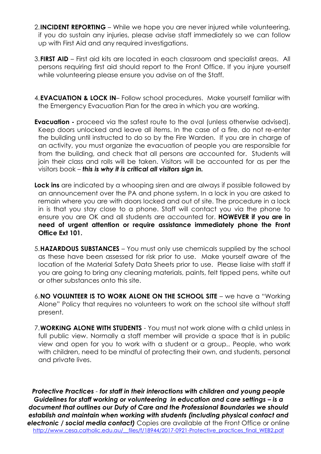- 2.**INCIDENT REPORTING** While we hope you are never injured while volunteering, if you do sustain any injuries, please advise staff immediately so we can follow up with First Aid and any required investigations.
- 3.**FIRST AID** First aid kits are located in each classroom and specialist areas. All persons requiring first aid should report to the Front Office. If you injure yourself while volunteering please ensure you advise on of the Staff.
- 4.**EVACUATION & LOCK IN** Follow school procedures. Make yourself familiar with the Emergency Evacuation Plan for the area in which you are working.
- **Evacuation -** proceed via the safest route to the oval (unless otherwise advised). Keep doors unlocked and leave all items. In the case of a fire, do not re-enter the building until instructed to do so by the Fire Warden. If you are in charge of an activity, you must organize the evacuation of people you are responsible for from the building, and check that all persons are accounted for. Students will join their class and rolls will be taken. Visitors will be accounted for as per the visitors book – *this is why it is critical all visitors sign in.*
- **Lock ins** are indicated by a whooping siren and are always if possible followed by an announcement over the PA and phone system. In a lock in you are asked to remain where you are with doors locked and out of site. The procedure in a lock in is that you stay close to a phone. Staff will contact you via the phone to ensure you are OK and all students are accounted for. **HOWEVER if you are in need of urgent attention or require assistance immediately phone the Front Office Ext 101.**
- 5.**HAZARDOUS SUBSTANCES** You must only use chemicals supplied by the school as these have been assessed for risk prior to use. Make yourself aware of the location of the Material Safety Data Sheets prior to use. Please liaise with staff if you are going to bring any cleaning materials, paints, felt tipped pens, white out or other substances onto this site.
- 6.**NO VOLUNTEER IS TO WORK ALONE ON THE SCHOOL SITE** we have a "Working Alone" Policy that requires no volunteers to work on the school site without staff present.
- 7.**WORKING ALONE WITH STUDENTS** You must not work alone with a child unless in full public view. Normally a staff member will provide a space that is in public view and open for you to work with a student or a group.. People, who work with children, need to be mindful of protecting their own, and students, personal and private lives.

*Protective Practices - for staff in their interactions with children and young people Guidelines for staff working or volunteering in education and care settings – is a document that outlines our Duty of Care and the Professional Boundaries we should establish and maintain when working with students (including physical contact and electronic / social media contact)* Copies are available at the Front Office or online http://www.cesa.catholic.edu.au/ files/f/18944/2017-0921-Protective practices final WEB2.pdf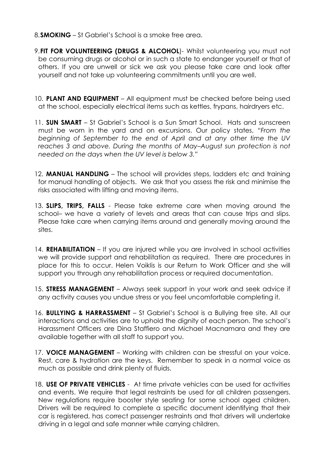- 8.**SMOKING** St Gabriel's School is a smoke free area.
- 9.**FIT FOR VOLUNTEERING (DRUGS & ALCOHOL**)- Whilst volunteering you must not be consuming drugs or alcohol or in such a state to endanger yourself or that of others. If you are unwell or sick we ask you please take care and look after yourself and not take up volunteering commitments until you are well.
- 10. **PLANT AND EQUIPMENT** All equipment must be checked before being used at the school, especially electrical items such as kettles, frypans, hairdryers etc.
- 11. **SUN SMART** St Gabriel's School is a Sun Smart School. Hats and sunscreen must be worn in the yard and on excursions. Our policy states, *"From the beginning of September to the end of April and at any other time the UV reaches 3 and above. During the months of May–August sun protection is not needed on the days when the UV level is below 3."*
- 12. **MANUAL HANDLING** The school will provides steps, ladders etc and training for manual handling of objects. We ask that you assess the risk and minimise the risks associated with lifting and moving items.
- 13. **SLIPS, TRIPS, FALLS** Please take extreme care when moving around the school– we have a variety of levels and areas that can cause trips and slips. Please take care when carrying items around and generally moving around the sites.
- 14. **REHABILITATION** If you are injured while you are involved in school activities we will provide support and rehabilitation as required. There are procedures in place for this to occur. Helen Voiklis is our Return to Work Officer and she will support you through any rehabilitation process or required documentation.
- 15. **STRESS MANAGEMENT** Always seek support in your work and seek advice if any activity causes you undue stress or you feel uncomfortable completing it.
- 16. **BULLYING & HARRASSMENT** St Gabriel's School is a Bullying free site. All our interactions and activities are to uphold the dignity of each person. The school's Harassment Officers are Dina Staffiero and Michael Macnamara and they are available together with all staff to support you.
- 17. **VOICE MANAGEMENT** Working with children can be stressful on your voice. Rest, care & hydration are the keys. Remember to speak in a normal voice as much as possible and drink plenty of fluids.
- 18. **USE OF PRIVATE VEHICLES** At time private vehicles can be used for activities and events. We require that legal restraints be used for all children passengers. New regulations require booster style seating for some school aged children. Drivers will be required to complete a specific document identifying that their car is registered, has correct passenger restraints and that drivers will undertake driving in a legal and safe manner while carrying children.